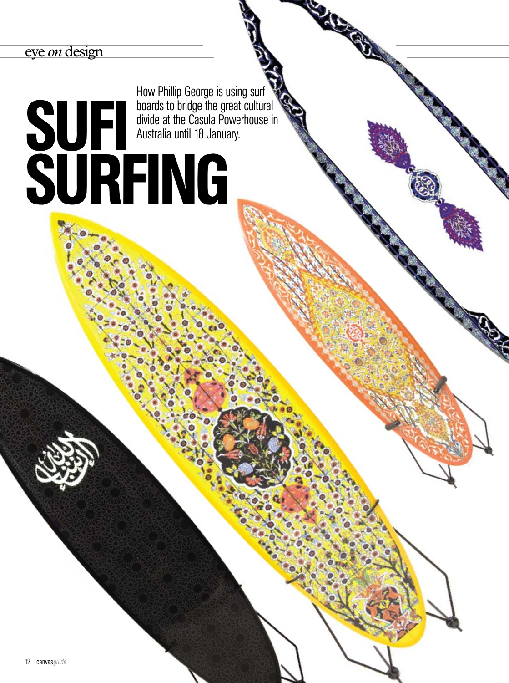## *eye on design*

How Phillip George is using surf boards to bridge the great cultural divide at the Casula Powerhouse in Australia until 18 January.

## **SUFI div** SURFING